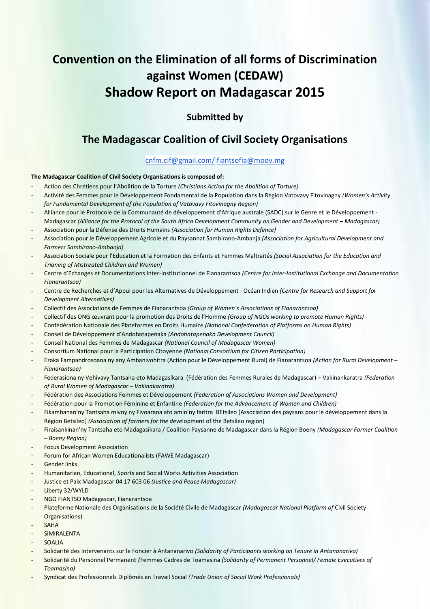# **Convention on the Elimination of all forms of Discrimination against Women (CEDAW) Shadow Report on Madagascar 2015**

### **Submitted by**

### **The Madagascar Coalition of Civil Society Organisations**

### cnfm.cif@gmail.com/ fiantsofia@moov.mg

#### **The Madagascar Coalition of Civil Society Organisations is composed of:**

- Action des Chrétiens pour l'Abolition de la Torture *(Christians Action for the Abolition of Torture)*
- Activité des Femmes pour le Développement Fondamental de la Population dans la Région Vatovavy Fitovinagny *(Women's Activity for Fundamental Development of the Population of Vatovavy Fitovinagny Region)*
- Alliance pour le Protocole de la Communauté de développement d'Afrique australe (SADC) sur le Genre et le Développement Madagascar *(Alliance for the Protocol of the South Africa Development Community on Gender and Development – Madagascar)*
- Association pour la Défense des Droits Humains *(Association for Human Rights Defence)*
- Association pour le Développement Agricole et du Paysannat Sambirano-Ambanja *(Association for Agricultural Development and Farmers Sambirano-Ambanja)*
- Association Sociale pour l'Education et la Formation des Enfants et Femmes Maltraités *(Social Association for the Education and Trianing of Mistreated Children and Women)*
- Centre d'Echanges et Documentations Inter-Institutionnel de Fianarantsoa *(Centre for Inter-Institutional Exchange and Documentation Fianarantsoa)*
- Centre de Recherches et d'Appui pour les Alternatives de Développement –Océan Indien *(Centre for Research and Support for Development Alternatives)*
- Collectif des Associations de Femmes de Fianarantsoa *(Group of Women's Associations of Fianarantsoa)*
- Collectif des ONG œuvrant pour la promotion des Droits de l'Homme *(Group of NGOs working to promote Human Rights)*
- Confédération Nationale des Plateformes en Droits Humains *(National Confederation of Platforms on Human Rights)*
- Conseil de Développement d'Andohatapenaka *(Andohatapenaka Development Council)*
- Conseil National des Femmes de Madagascar *(National Council of Madagascar Women)*
- Consortium National pour la Participation Citoyenne *(National Consortium for Citizen Participation)*
- Ezaka Fampandrosoana ny any Ambanivohitra (Action pour le Développement Rural) de Fianarantsoa *(Action for Rural Development – Fianarantsoa)*
- Federasiona ny Vehivavy Tantsaha eto Madagasikara (Fédération des Femmes Rurales de Madagascar) Vakinankaratra *(Federation of Rural Women of Madagascar – Vakinakaratra)*
- Fédération des Associations Femmes et Développement *(Federation of Associations Women and Development)*
- Fédération pour la Promotion Féminine et Enfantine *(Federation for the Advancement of Women and Children)*
- Fikambanan'ny Tantsaha mivoy ny Fivoarana ato amin'ny faritra BEtsileo (Association des paysans pour le développement dans la Région Betsileo) *(Association of farmers for the deve*lopment of the Betsileo region)
- Firaisankinan'ny Tantsaha eto Madagasikara / Coalition Paysanne de Madagascar dans la Région Boeny *(Madagascar Farmer Coalition – Boeny Region)*
- Focus Development Association
- Forum for African Women Educationalists (FAWE Madagascar)
- Gender links
- Humanitarian, Educational, Sports and Social Works Activities Association
- Justice et Paix Madagascar 04 17 603 06 *(Justice and Peace Madagascar)*
- Liberty 32/WYLD
- NGO FIANTSO Madagascar, Fianarantsoa
- Plateforme Nationale des Organisations de la Société Civile de Madagascar *(Madagascar National Platform of* Civil Society Organisations)
- **SAHA**
- SIMIRALENTA
- **SOALIA**
- Solidarité des Intervenants sur le Foncier à Antananarivo *(Solidarity of Participants working on Tenure in Antananarivo)*
- Solidarité du Personnel Permanent /Femmes Cadres de Toamasina *(Solidarity of Permanent Personnel/ Female Executives of Toamasina)*
- Syndicat des Professionnels Diplômés en Travail Social *(Trade Union of Social Work Professionals)*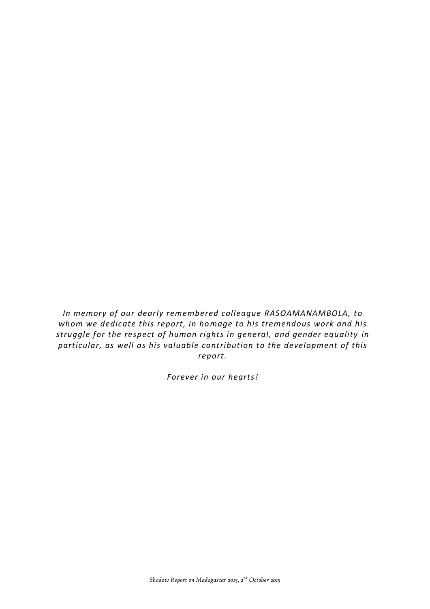*In memory of our dearly remembered colleague RASOAMANAMBOLA, to whom we dedicate this report, in homage to his tremendous work and his struggle for the respect of human rights in general, and gender equality in particular, as well as his valuable contribution to the development of this report.*

*Forever in our hearts!*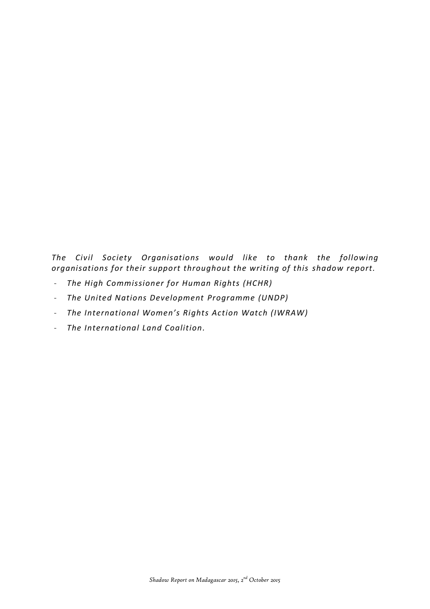*The Civil Society Organisations would like to thank the following organisations for their support throughout the writing of this shadow report.*

- *The High Commissioner for Human Rights (HCHR)*
- *The United Nations Development Programme (UNDP)*
- *The International Women's Rights Action Watch (IWRAW)*
- *The International Land Coalition.*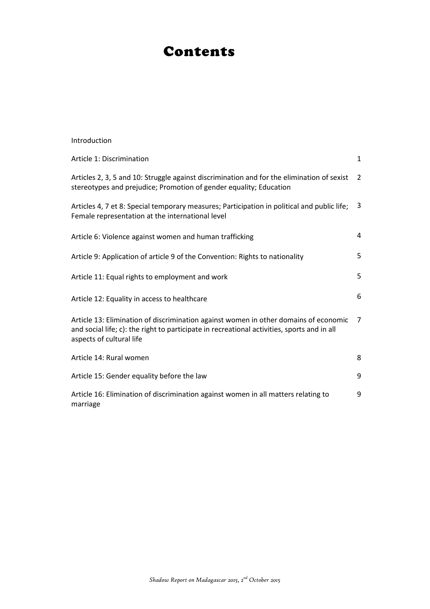## Contents

| Introduction                                                                                                                                                                                                    |                |
|-----------------------------------------------------------------------------------------------------------------------------------------------------------------------------------------------------------------|----------------|
| Article 1: Discrimination                                                                                                                                                                                       | 1              |
| Articles 2, 3, 5 and 10: Struggle against discrimination and for the elimination of sexist<br>stereotypes and prejudice; Promotion of gender equality; Education                                                | 2              |
| Articles 4, 7 et 8: Special temporary measures; Participation in political and public life;<br>Female representation at the international level                                                                 | 3              |
| Article 6: Violence against women and human trafficking                                                                                                                                                         | 4              |
| Article 9: Application of article 9 of the Convention: Rights to nationality                                                                                                                                    | 5              |
| Article 11: Equal rights to employment and work                                                                                                                                                                 | 5              |
| Article 12: Equality in access to healthcare                                                                                                                                                                    | 6              |
| Article 13: Elimination of discrimination against women in other domains of economic<br>and social life; c): the right to participate in recreational activities, sports and in all<br>aspects of cultural life | $\overline{7}$ |
| Article 14: Rural women                                                                                                                                                                                         | 8              |
| Article 15: Gender equality before the law                                                                                                                                                                      | 9              |
| Article 16: Elimination of discrimination against women in all matters relating to<br>marriage                                                                                                                  | 9              |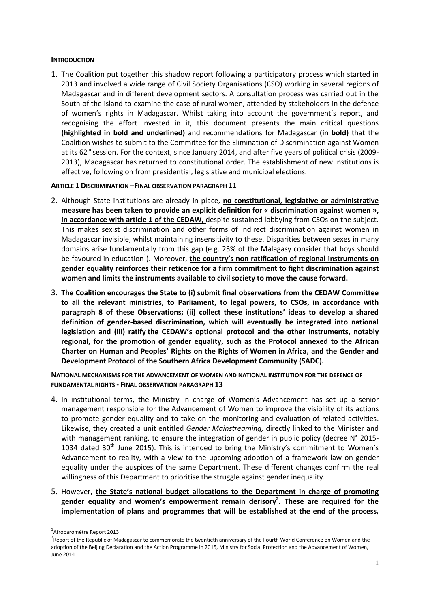### **INTRODUCTION**

1. The Coalition put together this shadow report following a participatory process which started in 2013 and involved a wide range of Civil Society Organisations (CSO) working in several regions of Madagascar and in different development sectors. A consultation process was carried out in the South of the island to examine the case of rural women, attended by stakeholders in the defence of women's rights in Madagascar. Whilst taking into account the government's report, and recognising the effort invested in it, this document presents the main critical questions **(highlighted in bold and underlined)** and recommendations for Madagascar **(in bold)** that the Coalition wishes to submit to the Committee for the Elimination of Discrimination against Women at its  $62^{nd}$  session. For the context, since January 2014, and after five years of political crisis (2009-2013), Madagascar has returned to constitutional order. The establishment of new institutions is effective, following on from presidential, legislative and municipal elections.

### **ARTICLE 1 DISCRIMINATION –FINAL OBSERVATION PARAGRAPH 11**

- 2. Although State institutions are already in place, **no constitutional, legislative or administrative measure has been taken to provide an explicit definition for « discrimination against women », in accordance with article 1 of the CEDAW,** despite sustained lobbying from CSOs on the subject. This makes sexist discrimination and other forms of indirect discrimination against women in Madagascar invisible, whilst maintaining insensitivity to these. Disparities between sexes in many domains arise fundamentally from this gap (e.g. 23% of the Malagasy consider that boys should be favoured in education<sup>1</sup>). Moreover, *the country's non ratification of regional instruments on* **gender equality reinforces their reticence for a firm commitment to fight discrimination against women and limits the instruments available to civil society to move the cause forward.**
- 3. **The Coalition encourages the State to (i) submit final observations from the CEDAW Committee to all the relevant ministries, to Parliament, to legal powers, to CSOs, in accordance with paragraph 8 of these Observations; (ii) collect these institutions' ideas to develop a shared definition of gender-based discrimination, which will eventually be integrated into national legislation and (iii) ratify the CEDAW's optional protocol and the other instruments, notably regional, for the promotion of gender equality, such as the Protocol annexed to the African Charter on Human and Peoples' Rights on the Rights of Women in Africa, and the Gender and Development Protocol of the Southern Africa Development Community (SADC).**

### **NATIONAL MECHANISMS FOR THE ADVANCEMENT OF WOMEN AND NATIONAL INSTITUTION FOR THE DEFENCE OF FUNDAMENTAL RIGHTS - FINAL OBSERVATION PARAGRAPH 13**

- 4. In institutional terms, the Ministry in charge of Women's Advancement has set up a senior management responsible for the Advancement of Women to improve the visibility of its actions to promote gender equality and to take on the monitoring and evaluation of related activities. Likewise, they created a unit entitled *Gender Mainstreaming,* directly linked to the Minister and with management ranking, to ensure the integration of gender in public policy (decree N° 2015-1034 dated  $30<sup>th</sup>$  June 2015). This is intended to bring the Ministry's commitment to Women's Advancement to reality, with a view to the upcoming adoption of a framework law on gender equality under the auspices of the same Department. These different changes confirm the real willingness of this Department to prioritise the struggle against gender inequality.
- 5. However, **the State's national budget allocations to the Department in charge of promoting gender equality and women's empowerment remain derisory<sup>2</sup> . These are required for the implementation of plans and programmes that will be established at the end of the process,**

**.** 

<sup>1</sup> Afrobaromètre Report 2013

<sup>&</sup>lt;sup>2</sup> Report of the Republic of Madagascar to commemorate the twentieth anniversary of the Fourth World Conference on Women and the adoption of the Beijing Declaration and the Action Programme in 2015, Ministry for Social Protection and the Advancement of Women, June 2014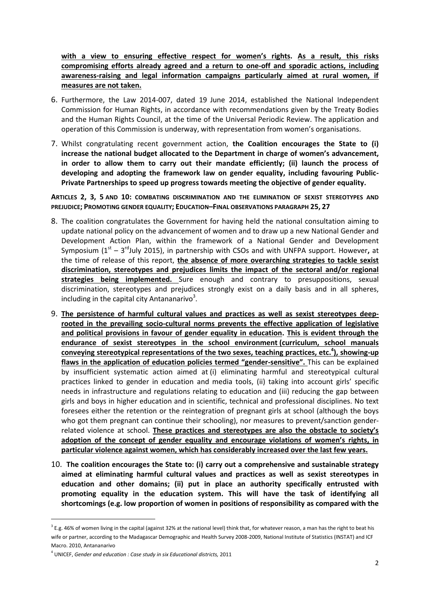**with a view to ensuring effective respect for women's rights. As a result, this risks compromising efforts already agreed and a return to one-off and sporadic actions, including awareness-raising and legal information campaigns particularly aimed at rural women, if measures are not taken.**

- 6. Furthermore, the Law 2014-007, dated 19 June 2014, established the National Independent Commission for Human Rights, in accordance with recommendations given by the Treaty Bodies and the Human Rights Council, at the time of the Universal Periodic Review. The application and operation of this Commission is underway, with representation from women's organisations.
- 7. Whilst congratulating recent government action, **the Coalition encourages the State to (i) increase the national budget allocated to the Department in charge of women's advancement, in order to allow them to carry out their mandate efficiently; (ii) launch the process of developing and adopting the framework law on gender equality, including favouring Public-Private Partnerships to speed up progress towards meeting the objective of gender equality.**

**ARTICLES 2, 3, 5 AND 10: COMBATING DISCRIMINATION AND THE ELIMINATION OF SEXIST STEREOTYPES AND PREJUDICE; PROMOTING GENDER EQUALITY; EDUCATION–FINAL OBSERVATIONS PARAGRAPH 25, 27**

- 8. The coalition congratulates the Government for having held the national consultation aiming to update national policy on the advancement of women and to draw up a new National Gender and Development Action Plan, within the framework of a National Gender and Development Symposium (1<sup>st</sup> – 3<sup>rd</sup>July 2015), in partnership with CSOs and with UNFPA support. However, at the time of release of this report, **the absence of more overarching strategies to tackle sexist discrimination, stereotypes and prejudices limits the impact of the sectoral and/or regional strategies being implemented.** Sure enough and contrary to presuppositions, sexual discrimination, stereotypes and prejudices strongly exist on a daily basis and in all spheres, including in the capital city Antananarivo<sup>3</sup>.
- 9. **The persistence of harmful cultural values and practices as well as sexist stereotypes deeprooted in the prevailing socio-cultural norms prevents the effective application of legislative and political provisions in favour of gender equality in education. This is evident through the endurance of sexist stereotypes in the school environment (curriculum, school manuals conveying stereotypical representations of the two sexes, teaching practices, etc.<sup>4</sup> ), showing-up flaws in the application of education policies termed "gender-sensitive".** This can be explained by insufficient systematic action aimed at (i) eliminating harmful and stereotypical cultural practices linked to gender in education and media tools, (ii) taking into account girls' specific needs in infrastructure and regulations relating to education and (iii) reducing the gap between girls and boys in higher education and in scientific, technical and professional disciplines. No text foresees either the retention or the reintegration of pregnant girls at school (although the boys who got them pregnant can continue their schooling), nor measures to prevent/sanction genderrelated violence at school. **These practices and stereotypes are also the obstacle to society's adoption of the concept of gender equality and encourage violations of women's rights, in particular violence against women, which has considerably increased over the last few years.**
- 10. **The coalition encourages the State to: (i) carry out a comprehensive and sustainable strategy aimed at eliminating harmful cultural values and practices as well as sexist stereotypes in education and other domains; (ii) put in place an authority specifically entrusted with promoting equality in the education system. This will have the task of identifying all shortcomings (e.g. low proportion of women in positions of responsibility as compared with the**

 $^3$  E.g. 46% of women living in the capital (against 32% at the national level) think that, for whatever reason, a man has the right to beat his wife or partner, according to the Madagascar Demographic and Health Survey 2008-2009, National Institute of Statistics (INSTAT) and ICF Macro. 2010, Antananarivo

<sup>4</sup> UNICEF, *Gender and education : Case study in six Educational districts,* 2011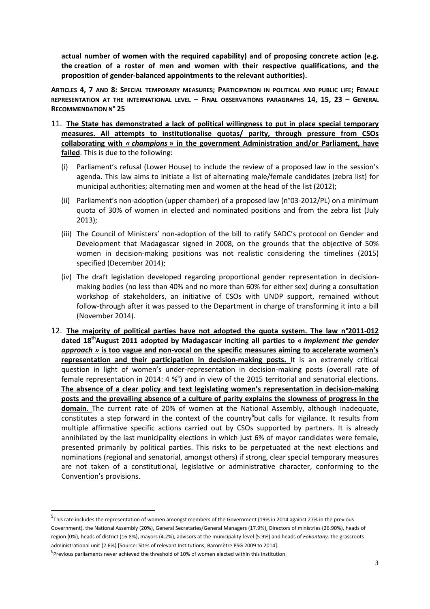**actual number of women with the required capability) and of proposing concrete action (e.g. the creation of a roster of men and women with their respective qualifications, and the proposition of gender-balanced appointments to the relevant authorities).**

**ARTICLES 4, 7 AND 8: SPECIAL TEMPORARY MEASURES; PARTICIPATION IN POLITICAL AND PUBLIC LIFE; FEMALE REPRESENTATION AT THE INTERNATIONAL LEVEL – FINAL OBSERVATIONS PARAGRAPHS 14, 15, 23 – GENERAL RECOMMENDATION N° 25**

- 11. **The State has demonstrated a lack of political willingness to put in place special temporary measures. All attempts to institutionalise quotas/ parity, through pressure from CSOs collaborating with** *« champions* **» in the government Administration and/or Parliament, have failed**. This is due to the following:
	- (i) Parliament's refusal (Lower House) to include the review of a proposed law in the session's agenda**.** This law aims to initiate a list of alternating male/female candidates (zebra list) for municipal authorities; alternating men and women at the head of the list (2012);
	- (ii) Parliament's non-adoption (upper chamber) of a proposed law (n°03-2012/PL) on a minimum quota of 30% of women in elected and nominated positions and from the zebra list (July 2013);
	- (iii) The Council of Ministers' non-adoption of the bill to ratify SADC's protocol on Gender and Development that Madagascar signed in 2008, on the grounds that the objective of 50% women in decision-making positions was not realistic considering the timelines (2015) specified (December 2014);
	- (iv) The draft legislation developed regarding proportional gender representation in decisionmaking bodies (no less than 40% and no more than 60% for either sex) during a consultation workshop of stakeholders, an initiative of CSOs with UNDP support, remained without follow-through after it was passed to the Department in charge of transforming it into a bill (November 2014).
- 12. **The majority of political parties have not adopted the quota system. The law n°2011-012 dated 18thAugust 2011 adopted by Madagascar inciting all parties to «** *implement the gender approach »* **is too vague and non-vocal on the specific measures aiming to accelerate women's representation and their participation in decision-making posts.** It is an extremely critical question in light of women's under-representation in decision-making posts (overall rate of female representation in 2014: 4  $\frac{1}{2}$  and in view of the 2015 territorial and senatorial elections. **The absence of a clear policy and text legislating women's representation in decision-making posts and the prevailing absence of a culture of parity explains the slowness of progress in the domain**. The current rate of 20% of women at the National Assembly, although inadequate, constitutes a step forward in the context of the country but calls for vigilance. It results from multiple affirmative specific actions carried out by CSOs supported by partners. It is already annihilated by the last municipality elections in which just 6% of mayor candidates were female, presented primarily by political parties. This risks to be perpetuated at the next elections and nominations (regional and senatorial, amongst others) if strong, clear special temporary measures are not taken of a constitutional, legislative or administrative character, conforming to the Convention's provisions.

<sup>5</sup> This rate includes the representation of women amongst members of the Government (19% in 2014 against 27% in the previous Government), the National Assembly (20%), General Secretaries/General Managers (17.9%), Directors of ministries (26.90%), heads of region (0%), heads of district (16.8%), mayors (4.2%), advisors at the municipality-level (5.9%) and heads of *Fokontany,* the grassroots administrational unit (2.6%) [Source: Sites of relevant Institutions; Baromètre PSG 2009 to 2014].

 $<sup>6</sup>$ Previous parliaments never achieved the threshold of 10% of women elected within this institution.</sup>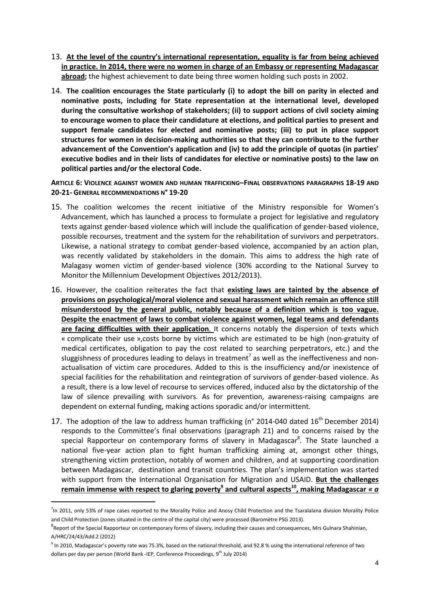- 13. **At the level of the country's international representation, equality is far from being achieved in practice. In 2014, there were no women in charge of an Embassy or representing Madagascar abroad;** the highest achievement to date being three women holding such posts in 2002.
- 14. **The coalition encourages the State particularly (i) to adopt the bill on parity in elected and nominative posts, including for State representation at the international level, developed during the consultative workshop of stakeholders; (ii) to support actions of civil society aiming to encourage women to place their candidature at elections, and political parties to present and support female candidates for elected and nominative posts; (iii) to put in place support structures for women in decision-making authorities so that they can contribute to the further advancement of the Convention's application and (iv) to add the principle of quotas (in parties' executive bodies and in their lists of candidates for elective or nominative posts) to the law on political parties and/or the electoral Code.**

### **ARTICLE 6: VIOLENCE AGAINST WOMEN AND HUMAN TRAFFICKING–FINAL OBSERVATIONS PARAGRAPHS 18-19 AND 20-21- GENERAL RECOMMENDATIONS N° 19-20**

- 15. The coalition welcomes the recent initiative of the Ministry responsible for Women's Advancement, which has launched a process to formulate a project for legislative and regulatory texts against gender-based violence which will include the qualification of gender-based violence, possible recourses, treatment and the system for the rehabilitation of survivors and perpetrators. Likewise, a national strategy to combat gender-based violence, accompanied by an action plan, was recently validated by stakeholders in the domain. This aims to address the high rate of Malagasy women victim of gender-based violence (30% according to the National Survey to Monitor the Millennium Development Objectives 2012/2013).
- 16. However, the coalition reiterates the fact that **existing laws are tainted by the absence of provisions on psychological/moral violence and sexual harassment which remain an offence still misunderstood by the general public, notably because of a definition which is too vague. Despite the enactment of laws to combat violence against women, legal teams and defendants are facing difficulties with their application**. It concerns notably the dispersion of texts which « complicate their use »,costs borne by victims which are estimated to be high (non-gratuity of medical certificates, obligation to pay the cost related to searching perpetrators, etc.) and the sluggishness of procedures leading to delays in treatment<sup>7</sup> as well as the ineffectiveness and nonactualisation of victim care procedures. Added to this is the insufficiency and/or inexistence of special facilities for the rehabilitation and reintegration of survivors of gender-based violence. As a result, there is a low level of recourse to services offered, induced also by the dictatorship of the law of silence prevailing with survivors. As for prevention, awareness-raising campaigns are dependent on external funding, making actions sporadic and/or intermittent.
- 17. The adoption of the law to address human trafficking (n° 2014-040 dated  $16^{th}$  December 2014) responds to the Committee's final observations (paragraph 21) and to concerns raised by the special Rapporteur on contemporary forms of slavery in Madagascar<sup>8</sup>. The State launched a national five-year action plan to fight human trafficking aiming at, amongst other things, strengthening victim protection, notably of women and children, and at supporting coordination between Madagascar, destination and transit countries. The plan's implementation was started with support from the International Organisation for Migration and USAID. **But the challenges remain immense with respect to glaring poverty<sup>9</sup> and cultural aspects<sup>10</sup> , making Madagascar** *« a*

<sup>&</sup>lt;sup>7</sup>In 2011, only 53% of rape cases reported to the Morality Police and Anosy Child Protection and the Tsaralalana division Morality Police and Child Protection (zones situated in the centre of the capital city) were processed (Baromètre PSG 2013).

<sup>&</sup>lt;sup>8</sup> Report of the Special Rapporteur on contemporary forms of slavery, including their causes and consequences, Mrs Gulnara Shahinian, A/HRC/24/43/Add.2 (2012)

<sup>&</sup>lt;sup>9</sup> In 2010, Madagascar's poverty rate was 75.3%, based on the national threshold, and 92.8 % using the international reference of two dollars per day per person (World Bank -IEP, Conference Proceedings, 9<sup>th</sup> July 2014)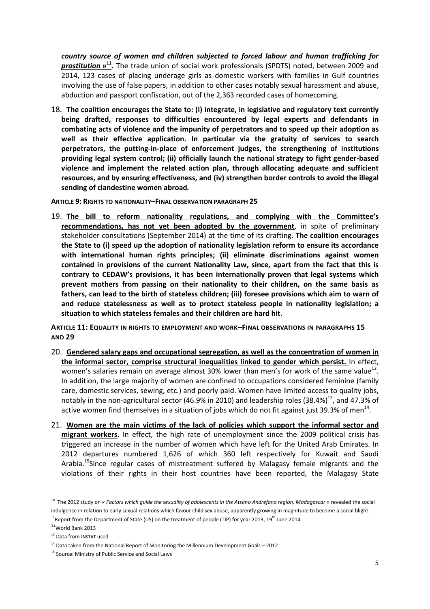*country source of women and children subjected to forced labour and human trafficking for prostitution* **» 11 .** The trade union of social work professionals (SPDTS) noted, between 2009 and 2014, 123 cases of placing underage girls as domestic workers with families in Gulf countries involving the use of false papers, in addition to other cases notably sexual harassment and abuse, abduction and passport confiscation, out of the 2,363 recorded cases of homecoming.

18. **The coalition encourages the State to: (i) integrate, in legislative and regulatory text currently being drafted, responses to difficulties encountered by legal experts and defendants in combating acts of violence and the impunity of perpetrators and to speed up their adoption as well as their effective application. In particular via the gratuity of services to search perpetrators, the putting-in-place of enforcement judges, the strengthening of institutions providing legal system control; (ii) officially launch the national strategy to fight gender-based violence and implement the related action plan, through allocating adequate and sufficient resources, and by ensuring effectiveness, and (iv) strengthen border controls to avoid the illegal sending of clandestine women abroad***.*

**ARTICLE 9: RIGHTS TO NATIONALITY–FINAL OBSERVATION PARAGRAPH 25**

19. **The bill to reform nationality regulations, and complying with the Committee's recommendations, has not yet been adopted by the government**, in spite of preliminary stakeholder consultations (September 2014) at the time of its drafting. **The coalition encourages the State to (i) speed up the adoption of nationality legislation reform to ensure its accordance with international human rights principles; (ii) eliminate discriminations against women contained in provisions of the current Nationality Law, since, apart from the fact that this is contrary to CEDAW's provisions, it has been internationally proven that legal systems which prevent mothers from passing on their nationality to their children, on the same basis as fathers, can lead to the birth of stateless children; (iii) foresee provisions which aim to warn of and reduce statelessness as well as to protect stateless people in nationality legislation; a situation to which stateless females and their children are hard hit.**

**ARTICLE 11: EQUALITY IN RIGHTS TO EMPLOYMENT AND WORK–FINAL OBSERVATIONS IN PARAGRAPHS 15 AND 29**

- 20. **Gendered salary gaps and occupational segregation, as well as the concentration of women in the informal sector, comprise structural inequalities linked to gender which persist.** In effect, women's salaries remain on average almost 30% lower than men's for work of the same value<sup>12</sup>. In addition, the large majority of women are confined to occupations considered feminine (family care, domestic services, sewing, etc.) and poorly paid. Women have limited access to quality jobs, notably in the non-agricultural sector (46.9% in 2010) and leadership roles (38.4%)<sup>13</sup>, and 47.3% of active women find themselves in a situation of jobs which do not fit against just 39.3% of men<sup>14</sup>.
- 21. **Women are the main victims of the lack of policies which support the informal sector and migrant workers**. In effect, the high rate of unemployment since the 2009 political crisis has triggered an increase in the number of women which have left for the United Arab Emirates. In 2012 departures numbered 1,626 of which 360 left respectively for Kuwait and Saudi Arabia.<sup>15</sup>Since regular cases of mistreatment suffered by Malagasy female migrants and the violations of their rights in their host countries have been reported, the Malagasy State

<sup>10</sup> The 2012 study on *« Factors which guide the sexuality of adolescents in the Atsimo Andrefana region, Madagascar »* revealed the social indulgence in relation to early sexual relations which favour child sex abuse, apparently growing in magnitude to become a social blight.

<sup>&</sup>lt;sup>11</sup> Report from the Department of State (US) on the treatment of people (TIP) for year 2013, 19<sup>th</sup> June 2014

<sup>12</sup>World Bank 2013

<sup>13</sup> Data from INSTAT used

 $14$  Data taken from the National Report of Monitoring the Millennium Development Goals – 2012

<sup>&</sup>lt;sup>15</sup> Source: Ministry of Public Service and Social Laws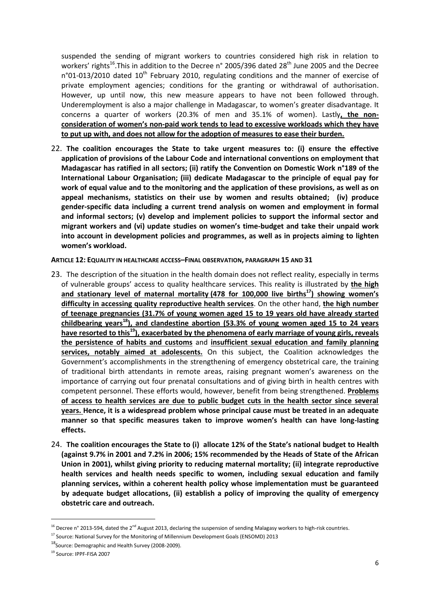suspended the sending of migrant workers to countries considered high risk in relation to workers' rights<sup>16</sup>.This in addition to the Decree n° 2005/396 dated 28<sup>th</sup> June 2005 and the Decree  $n°01-013/2010$  dated  $10<sup>th</sup>$  February 2010, regulating conditions and the manner of exercise of private employment agencies; conditions for the granting or withdrawal of authorisation. However, up until now, this new measure appears to have not been followed through. Underemployment is also a major challenge in Madagascar, to women's greater disadvantage. It concerns a quarter of workers (20.3% of men and 35.1% of women). Lastly**, the nonconsideration of women's non-paid work tends to lead to excessive workloads which they have to put up with, and does not allow for the adoption of measures to ease their burden.**

22. **The coalition encourages the State to take urgent measures to: (i) ensure the effective application of provisions of the Labour Code and international conventions on employment that Madagascar has ratified in all sectors; (ii) ratify the Convention on Domestic Work n°189 of the International Labour Organisation; (iii) dedicate Madagascar to the principle of equal pay for work of equal value and to the monitoring and the application of these provisions, as well as on appeal mechanisms, statistics on their use by women and results obtained; (iv) produce gender-specific data including a current trend analysis on women and employment in formal and informal sectors; (v) develop and implement policies to support the informal sector and migrant workers and (vi) update studies on women's time-budget and take their unpaid work into account in development policies and programmes, as well as in projects aiming to lighten women's workload.**

**ARTICLE 12: EQUALITY IN HEALTHCARE ACCESS–FINAL OBSERVATION, PARAGRAPH 15 AND 31**

- 23. The description of the situation in the health domain does not reflect reality, especially in terms of vulnerable groups' access to quality healthcare services. This reality is illustrated by **the high and stationary level of maternal mortality (478 for 100,000 live births<sup>17</sup>) showing women's difficulty in accessing quality reproductive health services**. On the other hand, **the high number of teenage pregnancies (31.7% of young women aged 15 to 19 years old have already started childbearing years<sup>18</sup>), and clandestine abortion (53.3% of young women aged 15 to 24 years have resorted to this<sup>19</sup>), exacerbated by the phenomena of early marriage of young girls, reveals the persistence of habits and customs** and **insufficient sexual education and family planning services, notably aimed at adolescents.** On this subject, the Coalition acknowledges the Government's accomplishments in the strengthening of emergency obstetrical care, the training of traditional birth attendants in remote areas, raising pregnant women's awareness on the importance of carrying out four prenatal consultations and of giving birth in health centres with competent personnel. These efforts would, however, benefit from being strengthened. **Problems of access to health services are due to public budget cuts in the health sector since several years. Hence, it is a widespread problem whose principal cause must be treated in an adequate manner so that specific measures taken to improve women's health can have long-lasting effects.**
- 24. **The coalition encourages the State to (i) allocate 12% of the State's national budget to Health (against 9.7% in 2001 and 7.2% in 2006; 15% recommended by the Heads of State of the African Union in 2001), whilst giving priority to reducing maternal mortality; (ii) integrate reproductive health services and health needs specific to women, including sexual education and family planning services, within a coherent health policy whose implementation must be guaranteed by adequate budget allocations, (ii) establish a policy of improving the quality of emergency obstetric care and outreach.**

<sup>&</sup>lt;sup>16</sup> Decree n° 2013-594, dated the 2<sup>nd</sup> August 2013, declaring the suspension of sending Malagasy workers to high-risk countries.

<sup>&</sup>lt;sup>17</sup> Source: National Survey for the Monitoring of Millennium Development Goals (ENSOMD) 2013

<sup>18</sup>Source: Demographic and Health Survey (2008-2009).

<sup>19</sup> Source: IPPF-FISA 2007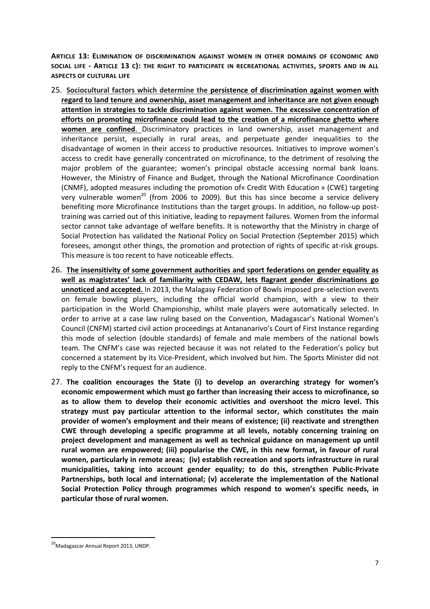**ARTICLE 13: ELIMINATION OF DISCRIMINATION AGAINST WOMEN IN OTHER DOMAINS OF ECONOMIC AND SOCIAL LIFE - ARTICLE 13 C): THE RIGHT TO PARTICIPATE IN RECREATIONAL ACTIVITIES, SPORTS AND IN ALL ASPECTS OF CULTURAL LIFE**

- 25. **Sociocultural factors which determine the persistence of discrimination against women with regard to land tenure and ownership, asset management and inheritance are not given enough attention in strategies to tackle discrimination against women. The excessive concentration of efforts on promoting microfinance could lead to the creation of a microfinance ghetto where women are confined**. Discriminatory practices in land ownership, asset management and inheritance persist, especially in rural areas, and perpetuate gender inequalities to the disadvantage of women in their access to productive resources. Initiatives to improve women's access to credit have generally concentrated on microfinance, to the detriment of resolving the major problem of the guarantee; women's principal obstacle accessing normal bank loans. However, the Ministry of Finance and Budget, through the National Microfinance Coordination (CNMF), adopted measures including the promotion of« Credit With Education » (CWE) targeting very vulnerable women<sup>20</sup> (from 2006 to 2009). But this has since become a service delivery benefiting more Microfinance Institutions than the target groups. In addition, no follow-up posttraining was carried out of this initiative, leading to repayment failures. Women from the informal sector cannot take advantage of welfare benefits. It is noteworthy that the Ministry in charge of Social Protection has validated the National Policy on Social Protection (September 2015) which foresees, amongst other things, the promotion and protection of rights of specific at-risk groups. This measure is too recent to have noticeable effects.
- 26. **The insensitivity of some government authorities and sport federations on gender equality as well as magistrates' lack of familiarity with CEDAW, lets flagrant gender discriminations go unnoticed and accepted.** In 2013, the Malagasy Federation of Bowls imposed pre-selection events on female bowling players, including the official world champion, with a view to their participation in the World Championship, whilst male players were automatically selected. In order to arrive at a case law ruling based on the Convention, Madagascar's National Women's Council (CNFM) started civil action proceedings at Antananarivo's Court of First Instance regarding this mode of selection (double standards) of female and male members of the national bowls team. The CNFM's case was rejected because it was not related to the Federation's policy but concerned a statement by its Vice-President, which involved but him. The Sports Minister did not reply to the CNFM's request for an audience.
- 27. **The coalition encourages the State (i) to develop an overarching strategy for women's economic empowerment which must go farther than increasing their access to microfinance, so as to allow them to develop their economic activities and overshoot the micro level. This strategy must pay particular attention to the informal sector, which constitutes the main provider of women's employment and their means of existence; (ii) reactivate and strengthen CWE through developing a specific programme at all levels, notably concerning training on project development and management as well as technical guidance on management up until rural women are empowered; (iii) popularise the CWE, in this new format, in favour of rural women, particularly in remote areas; (iv) establish recreation and sports infrastructure in rural municipalities, taking into account gender equality; to do this, strengthen Public-Private Partnerships, both local and international; (v) accelerate the implementation of the National Social Protection Policy through programmes which respond to women's specific needs, in particular those of rural women.**

<sup>&</sup>lt;sup>20</sup>Madagascar Annual Report 2013, UNDP.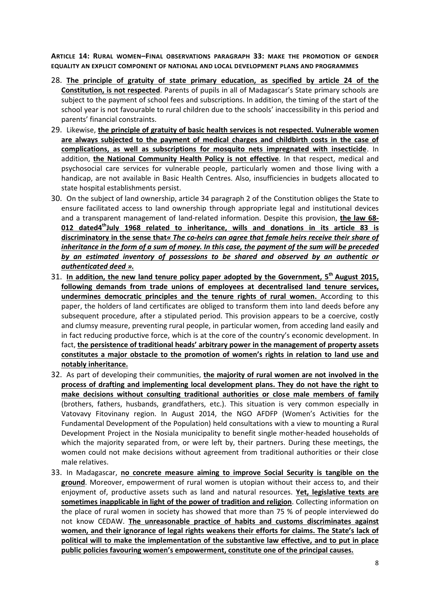**ARTICLE 14: RURAL WOMEN–FINAL OBSERVATIONS PARAGRAPH 33: MAKE THE PROMOTION OF GENDER EQUALITY AN EXPLICIT COMPONENT OF NATIONAL AND LOCAL DEVELOPMENT PLANS AND PROGRAMMES** 

- 28. **The principle of gratuity of state primary education, as specified by article 24 of the Constitution, is not respected**. Parents of pupils in all of Madagascar's State primary schools are subject to the payment of school fees and subscriptions. In addition, the timing of the start of the school year is not favourable to rural children due to the schools' inaccessibility in this period and parents' financial constraints.
- 29. Likewise, **the principle of gratuity of basic health services is not respected. Vulnerable women are always subjected to the payment of medical charges and childbirth costs in the case of complications, as well as subscriptions for mosquito nets impregnated with insecticide**. In addition, **the National Community Health Policy is not effective**. In that respect, medical and psychosocial care services for vulnerable people, particularly women and those living with a handicap, are not available in Basic Health Centres. Also, insufficiencies in budgets allocated to state hospital establishments persist.
- 30. On the subject of land ownership, article 34 paragraph 2 of the Constitution obliges the State to ensure facilitated access to land ownership through appropriate legal and institutional devices and a transparent management of land-related information. Despite this provision, **the law 68- 012 dated4 thJuly 1968 related to inheritance, wills and donations in its article 83 is discriminatory in the sense that***« The co-heirs can agree that female heirs receive their share of inheritance in the form of a sum of money. In this case, the payment of the sum will be preceded by an estimated inventory of possessions to be shared and observed by an authentic or authenticated deed ».*
- 31. **In addition, the new land tenure policy paper adopted by the Government, 5 th August 2015, following demands from trade unions of employees at decentralised land tenure services, undermines democratic principles and the tenure rights of rural women.** According to this paper, the holders of land certificates are obliged to transform them into land deeds before any subsequent procedure, after a stipulated period. This provision appears to be a coercive, costly and clumsy measure, preventing rural people, in particular women, from acceding land easily and in fact reducing productive force, which is at the core of the country's economic development. In fact, **the persistence of traditional heads' arbitrary power in the management of property assets constitutes a major obstacle to the promotion of women's rights in relation to land use and notably inheritance.**
- 32. As part of developing their communities, **the majority of rural women are not involved in the process of drafting and implementing local development plans. They do not have the right to make decisions without consulting traditional authorities or close male members of family** (brothers, fathers, husbands, grandfathers, etc.). This situation is very common especially in Vatovavy Fitovinany region. In August 2014, the NGO AFDFP (Women's Activities for the Fundamental Development of the Population) held consultations with a view to mounting a Rural Development Project in the Nosiala municipality to benefit single mother-headed households of which the majority separated from, or were left by, their partners. During these meetings, the women could not make decisions without agreement from traditional authorities or their close male relatives.
- 33. In Madagascar, **no concrete measure aiming to improve Social Security is tangible on the ground**. Moreover, empowerment of rural women is utopian without their access to, and their enjoyment of, productive assets such as land and natural resources. **Yet, legislative texts are sometimes inapplicable in light of the power of tradition and religion**. Collecting information on the place of rural women in society has showed that more than 75 % of people interviewed do not know CEDAW. **The unreasonable practice of habits and customs discriminates against women, and their ignorance of legal rights weakens their efforts for claims. The State's lack of political will to make the implementation of the substantive law effective, and to put in place public policies favouring women's empowerment, constitute one of the principal causes.**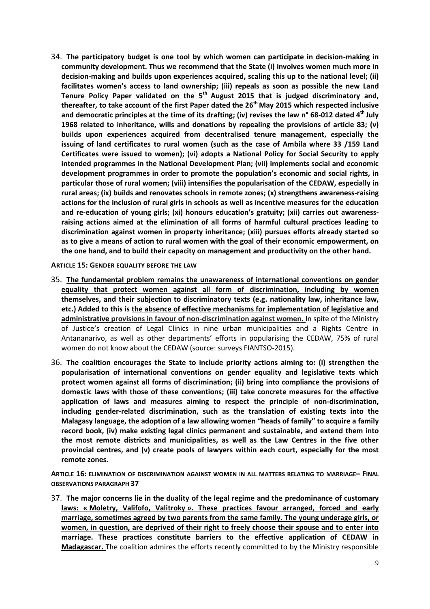34. **The participatory budget is one tool by which women can participate in decision-making in community development. Thus we recommend that the State (i) involves women much more in decision-making and builds upon experiences acquired, scaling this up to the national level; (ii) facilitates women's access to land ownership; (iii) repeals as soon as possible the new Land Tenure Policy Paper validated on the 5 th August 2015 that is judged discriminatory and, thereafter, to take account of the first Paper dated the 26th May 2015 which respected inclusive and democratic principles at the time of its drafting; (iv) revises the law n° 68-012 dated 4 th July 1968 related to inheritance, wills and donations by repealing the provisions of article 83; (v) builds upon experiences acquired from decentralised tenure management, especially the issuing of land certificates to rural women (such as the case of Ambila where 33 /159 Land Certificates were issued to women); (vi) adopts a National Policy for Social Security to apply intended programmes in the National Development Plan; (vii) implements social and economic development programmes in order to promote the population's economic and social rights, in particular those of rural women; (viii) intensifies the popularisation of the CEDAW, especially in rural areas; (ix) builds and renovates schools in remote zones; (x) strengthens awareness-raising actions for the inclusion of rural girls in schools as well as incentive measures for the education and re-education of young girls; (xi) honours education's gratuity; (xii) carries out awarenessraising actions aimed at the elimination of all forms of harmful cultural practices leading to discrimination against women in property inheritance; (xiii) pursues efforts already started so as to give a means of action to rural women with the goal of their economic empowerment, on the one hand, and to build their capacity on management and productivity on the other hand.**

**ARTICLE 15: GENDER EQUALITY BEFORE THE LAW**

- 35. **The fundamental problem remains the unawareness of international conventions on gender equality that protect women against all form of discrimination, including by women themselves, and their subjection to discriminatory texts (e.g. nationality law, inheritance law, etc.) Added to this is the absence of effective mechanisms for implementation of legislative and administrative provisions in favour of non-discrimination against women.** In spite of the Ministry of Justice's creation of Legal Clinics in nine urban municipalities and a Rights Centre in Antananarivo, as well as other departments' efforts in popularising the CEDAW, 75% of rural women do not know about the CEDAW (source: surveys FIANTSO-2015).
- 36. **The coalition encourages the State to include priority actions aiming to: (i) strengthen the popularisation of international conventions on gender equality and legislative texts which protect women against all forms of discrimination; (ii) bring into compliance the provisions of domestic laws with those of these conventions; (iii) take concrete measures for the effective application of laws and measures aiming to respect the principle of non-discrimination, including gender-related discrimination, such as the translation of existing texts into the Malagasy language, the adoption of a law allowing women "heads of family" to acquire a family record book, (iv) make existing legal clinics permanent and sustainable, and extend them into the most remote districts and municipalities, as well as the Law Centres in the five other provincial centres, and (v) create pools of lawyers within each court, especially for the most remote zones.**

**ARTICLE 16: ELIMINATION OF DISCRIMINATION AGAINST WOMEN IN ALL MATTERS RELATING TO MARRIAGE– FINAL OBSERVATIONS PARAGRAPH 37**

37. **The major concerns lie in the duality of the legal regime and the predominance of customary laws: « Moletry, Valifofo, Valitroky ». These practices favour arranged, forced and early marriage, sometimes agreed by two parents from the same family. The young underage girls, or women, in question, are deprived of their right to freely choose their spouse and to enter into marriage. These practices constitute barriers to the effective application of CEDAW in Madagascar.** The coalition admires the efforts recently committed to by the Ministry responsible